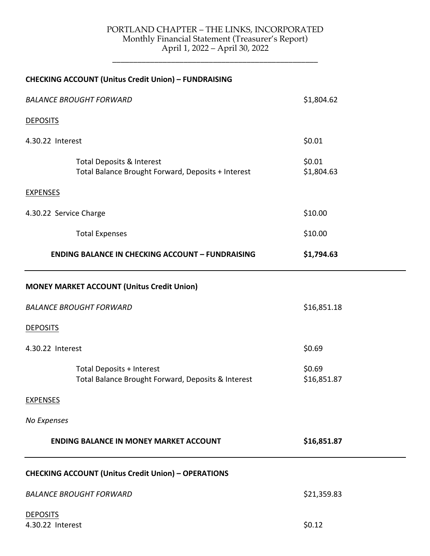## PORTLAND CHAPTER – THE LINKS, INCORPORATED Monthly Financial Statement (Treasurer's Report) April 1, 2022 – April 30, 2022

\_\_\_\_\_\_\_\_\_\_\_\_\_\_\_\_\_\_\_\_\_\_\_\_\_\_\_\_\_\_\_\_\_\_\_\_\_\_\_\_\_\_\_\_\_\_\_\_\_

|                                     | <b>CHECKING ACCOUNT (Unitus Credit Union) - FUNDRAISING</b>                            |                       |  |
|-------------------------------------|----------------------------------------------------------------------------------------|-----------------------|--|
| <b>BALANCE BROUGHT FORWARD</b>      |                                                                                        | \$1,804.62            |  |
| <b>DEPOSITS</b>                     |                                                                                        |                       |  |
| 4.30.22 Interest                    |                                                                                        | \$0.01                |  |
|                                     | Total Deposits & Interest<br>Total Balance Brought Forward, Deposits + Interest        | \$0.01<br>\$1,804.63  |  |
| <b>EXPENSES</b>                     |                                                                                        |                       |  |
| 4.30.22 Service Charge              |                                                                                        | \$10.00               |  |
|                                     | <b>Total Expenses</b>                                                                  | \$10.00               |  |
|                                     | <b>ENDING BALANCE IN CHECKING ACCOUNT - FUNDRAISING</b>                                | \$1,794.63            |  |
|                                     | <b>MONEY MARKET ACCOUNT (Unitus Credit Union)</b>                                      |                       |  |
| <b>BALANCE BROUGHT FORWARD</b>      |                                                                                        | \$16,851.18           |  |
| <b>DEPOSITS</b>                     |                                                                                        |                       |  |
| 4.30.22 Interest                    |                                                                                        | \$0.69                |  |
|                                     | <b>Total Deposits + Interest</b><br>Total Balance Brought Forward, Deposits & Interest | \$0.69<br>\$16,851.87 |  |
| <b>EXPENSES</b>                     |                                                                                        |                       |  |
| No Expenses                         |                                                                                        |                       |  |
|                                     | <b>ENDING BALANCE IN MONEY MARKET ACCOUNT</b>                                          | \$16,851.87           |  |
|                                     | <b>CHECKING ACCOUNT (Unitus Credit Union) - OPERATIONS</b>                             |                       |  |
| <b>BALANCE BROUGHT FORWARD</b>      |                                                                                        | \$21,359.83           |  |
| <b>DEPOSITS</b><br>4.30.22 Interest |                                                                                        | \$0.12                |  |